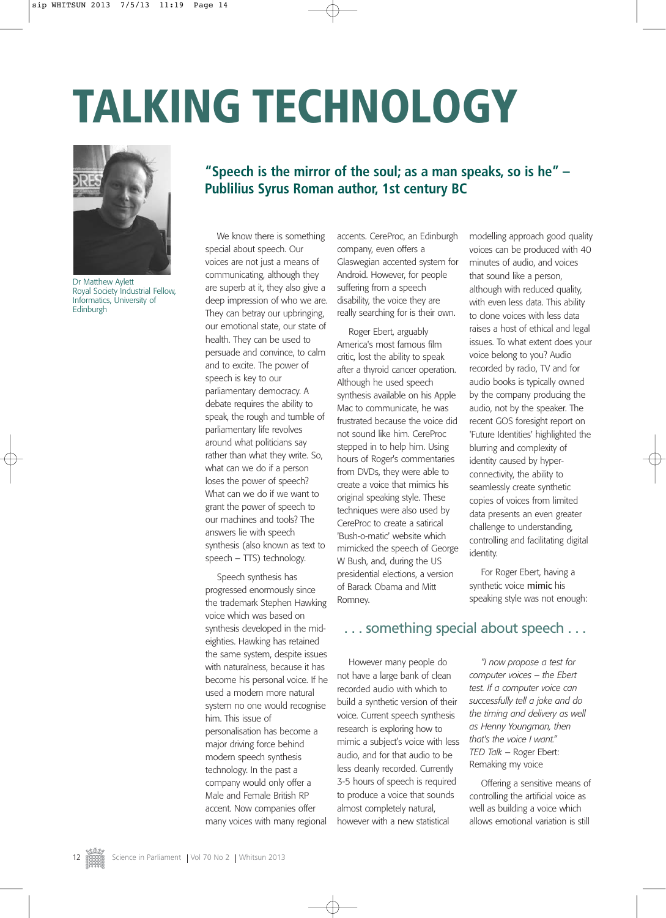# **TALKING TECHNOLOGY**



Dr Matthew Aylett Royal Society Industrial Fellow, Informatics, University of Edinburgh

### **"Speech is the mirror of the soul; as a man speaks, so is he" – Publilius Syrus Roman author, 1st century BC**

We know there is something special about speech. Our voices are not just a means of communicating, although they are superb at it, they also give a deep impression of who we are. They can betray our upbringing, our emotional state, our state of health. They can be used to persuade and convince, to calm and to excite. The power of speech is key to our parliamentary democracy. A debate requires the ability to speak, the rough and tumble of parliamentary life revolves around what politicians say rather than what they write. So, what can we do if a person loses the power of speech? What can we do if we want to grant the power of speech to our machines and tools? The answers lie with speech synthesis (also known as text to speech - TTS) technology.

Speech synthesis has progressed enormously since the trademark Stephen Hawking voice which was based on synthesis developed in the mideighties. Hawking has retained the same system, despite issues with naturalness, because it has become his personal voice. If he used a modern more natural system no one would recognise him. This issue of personalisation has become a major driving force behind modern speech synthesis technology. In the past a company would only offer a Male and Female British RP accent. Now companies offer many voices with many regional accents. CereProc, an Edinburgh company, even offers a Glaswegian accented system for Android. However, for people suffering from a speech disability, the voice they are really searching for is their own.

Roger Ebert, arguably America's most famous film critic, lost the ability to speak after a thyroid cancer operation. Although he used speech synthesis available on his Apple Mac to communicate, he was frustrated because the voice did not sound like him. CereProc stepped in to help him. Using hours of Roger's commentaries from DVDs, they were able to create a voice that mimics his original speaking style. These techniques were also used by CereProc to create a satirical 'Bush-o-matic' website which mimicked the speech of George W Bush, and, during the US presidential elections, a version of Barack Obama and Mitt Romney.

modelling approach good quality voices can be produced with 40 minutes of audio, and voices that sound like a person, although with reduced quality, with even less data. This ability to clone voices with less data raises a host of ethical and legal issues. To what extent does your voice belong to you? Audio recorded by radio, TV and for audio books is typically owned by the company producing the audio, not by the speaker. The recent GOS foresight report on 'Future Identities' highlighted the blurring and complexity of identity caused by hyperconnectivity, the ability to seamlessly create synthetic copies of voices from limited data presents an even greater challenge to understanding, controlling and facilitating digital identity.

For Roger Ebert, having a synthetic voice mimic his speaking style was not enough:

#### . . . something special about speech . . .

However many people do not have a large bank of clean recorded audio with which to build a synthetic version of their voice. Current speech synthesis research is exploring how to mimic a subject's voice with less audio, and for that audio to be less cleanly recorded. Currently 3-5 hours of speech is required to produce a voice that sounds almost completely natural, however with a new statistical

*"I now propose a test for computer voices – the Ebert test. If a computer voice can successfully tell a joke and do the timing and delivery as well as Henny Youngman, then that's the voice I want." TED Talk* – Roger Ebert: Remaking my voice

Offering a sensitive means of controlling the artificial voice as well as building a voice which allows emotional variation is still